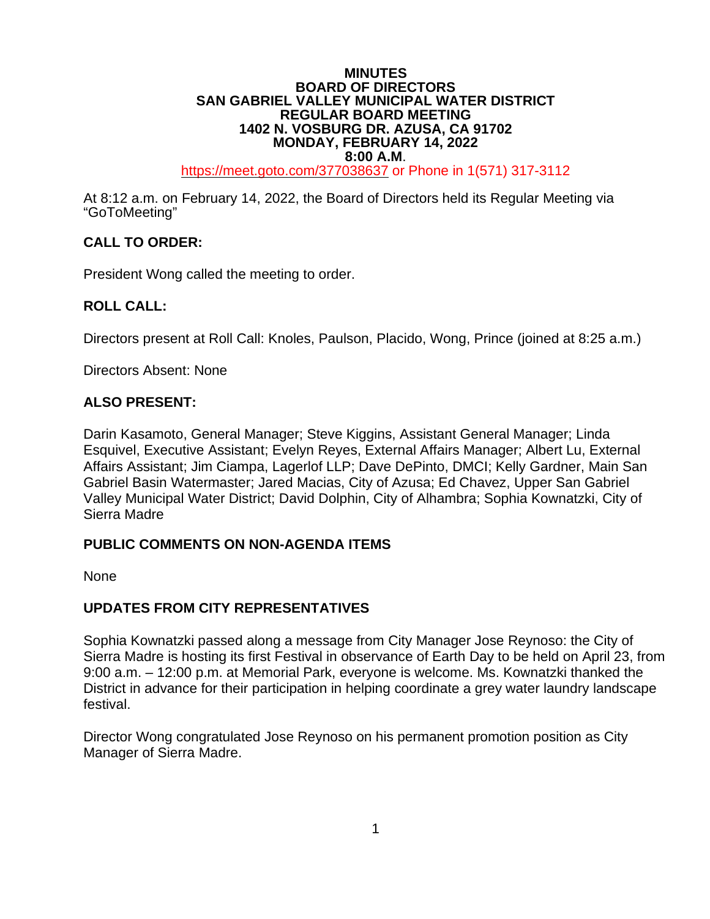#### **MINUTES BOARD OF DIRECTORS SAN GABRIEL VALLEY MUNICIPAL WATER DISTRICT REGULAR BOARD MEETING 1402 N. VOSBURG DR. AZUSA, CA 91702 MONDAY, FEBRUARY 14, 2022**

**8:00 A.M.**<br>[https://meet.goto.com/3](https://global.gotomeeting.com/join/6)77038637 or Phone in 1(571) 317-3112

At 8:12 a.m. on February 14, 2022, the Board of Directors held its Regular Meeting via "GoToMeeting"

# **CALL TO ORDER:**

President Wong called the meeting to order.

## **ROLL CALL:**

Directors present at Roll Call: Knoles, Paulson, Placido, Wong, Prince (joined at 8:25 a.m.)

Directors Absent: None

#### **ALSO PRESENT:**

Darin Kasamoto, General Manager; Steve Kiggins, Assistant General Manager; Linda Esquivel, Executive Assistant; Evelyn Reyes, External Affairs Manager; Albert Lu, External Affairs Assistant; Jim Ciampa, Lagerlof LLP; Dave DePinto, DMCI; Kelly Gardner, Main San Gabriel Basin Watermaster; Jared Macias, City of Azusa; Ed Chavez, Upper San Gabriel Valley Municipal Water District; David Dolphin, City of Alhambra; Sophia Kownatzki, City of Sierra Madre

## **PUBLIC COMMENTS ON NON-AGENDA ITEMS**

None

## **UPDATES FROM CITY REPRESENTATIVES**

Sophia Kownatzki passed along a message from City Manager Jose Reynoso: the City of Sierra Madre is hosting its first Festival in observance of Earth Day to be held on April 23, from 9:00 a.m. – 12:00 p.m. at Memorial Park, everyone is welcome. Ms. Kownatzki thanked the District in advance for their participation in helping coordinate a grey water laundry landscape festival.

Director Wong congratulated Jose Reynoso on his permanent promotion position as City Manager of Sierra Madre.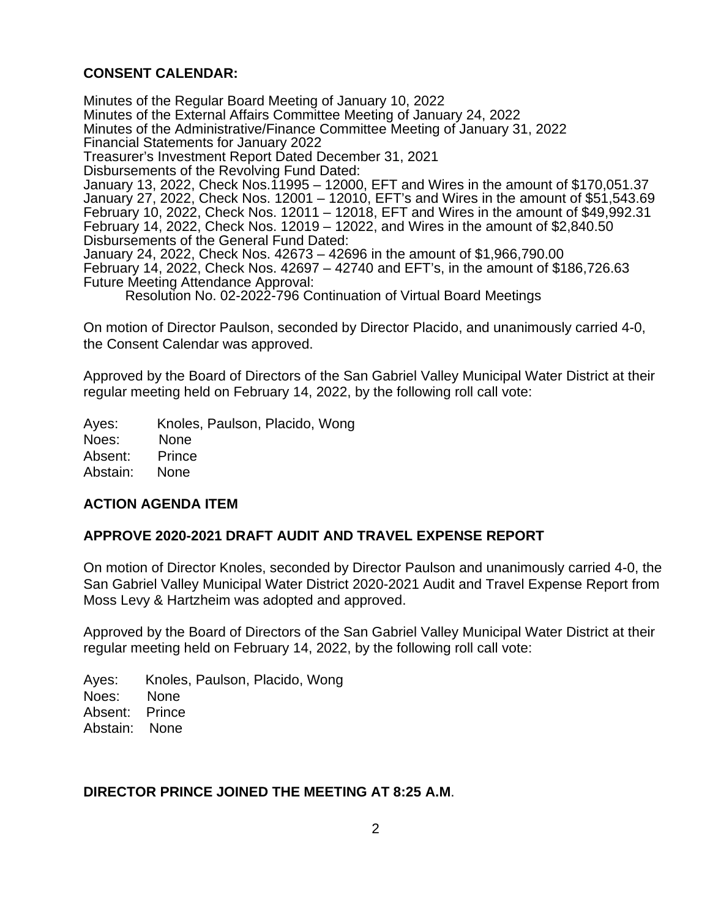# **CONSENT CALENDAR:**

Minutes of the Regular Board Meeting of January 10, 2022 Minutes of the External Affairs Committee Meeting of January 24, 2022 Minutes of the Administrative/Finance Committee Meeting of January 31, 2022 Financial Statements for January 2022 Treasurer's Investment Report Dated December 31, 2021 Disbursements of the Revolving Fund Dated: January 13, 2022, Check Nos.11995 – 12000, EFT and Wires in the amount of \$170,051.37 January 27, 2022, Check Nos. 12001 – 12010, EFT's and Wires in the amount of \$51,543.69 February 10, 2022, Check Nos. 12011 – 12018, EFT and Wires in the amount of \$49,992.31 February 14, 2022, Check Nos. 12019 – 12022, and Wires in the amount of \$2,840.50 Disbursements of the General Fund Dated: January 24, 2022, Check Nos. 42673 – 42696 in the amount of \$1,966,790.00 February 14, 2022, Check Nos. 42697 – 42740 and EFT's, in the amount of \$186,726.63 Future Meeting Attendance Approval: Resolution No. 02-2022-796 Continuation of Virtual Board Meetings

On motion of Director Paulson, seconded by Director Placido, and unanimously carried 4-0, the Consent Calendar was approved.

Approved by the Board of Directors of the San Gabriel Valley Municipal Water District at their regular meeting held on February 14, 2022, by the following roll call vote:

Ayes: Knoles, Paulson, Placido, Wong Noes: None Absent: Prince Abstain: None

## **ACTION AGENDA ITEM**

## **APPROVE 2020-2021 DRAFT AUDIT AND TRAVEL EXPENSE REPORT**

On motion of Director Knoles, seconded by Director Paulson and unanimously carried 4-0, the San Gabriel Valley Municipal Water District 2020-2021 Audit and Travel Expense Report from Moss Levy & Hartzheim was adopted and approved.

Approved by the Board of Directors of the San Gabriel Valley Municipal Water District at their regular meeting held on February 14, 2022, by the following roll call vote:

Ayes: Knoles, Paulson, Placido, Wong Noes: None Absent: Prince Abstain: None

#### **DIRECTOR PRINCE JOINED THE MEETING AT 8:25 A.M**.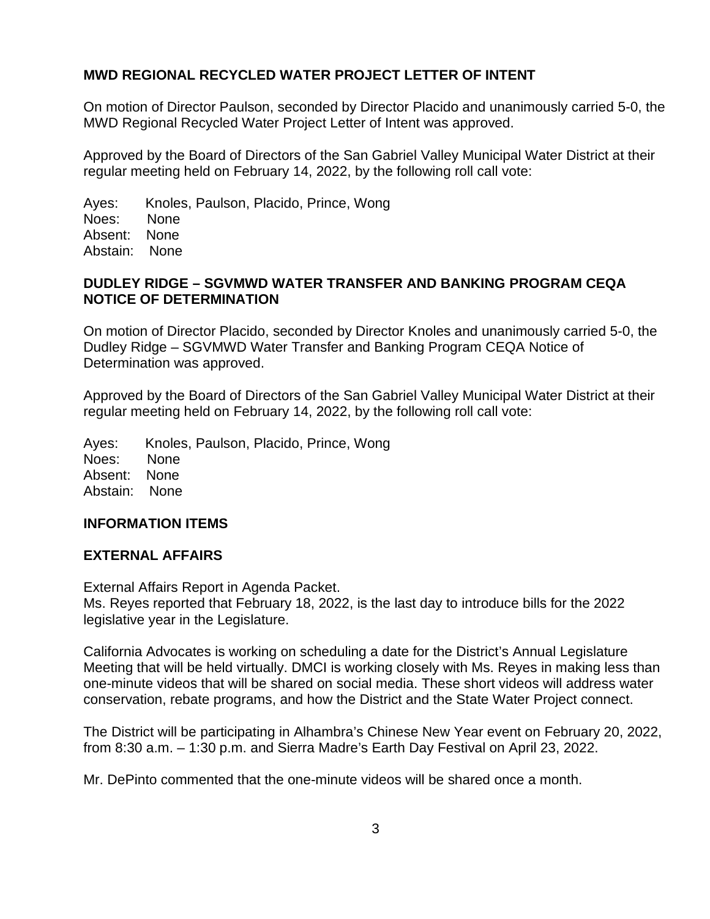## **MWD REGIONAL RECYCLED WATER PROJECT LETTER OF INTENT**

On motion of Director Paulson, seconded by Director Placido and unanimously carried 5-0, the MWD Regional Recycled Water Project Letter of Intent was approved.

Approved by the Board of Directors of the San Gabriel Valley Municipal Water District at their regular meeting held on February 14, 2022, by the following roll call vote:

Ayes: Knoles, Paulson, Placido, Prince, Wong Noes: None Absent: None Abstain: None

### **DUDLEY RIDGE – SGVMWD WATER TRANSFER AND BANKING PROGRAM CEQA NOTICE OF DETERMINATION**

On motion of Director Placido, seconded by Director Knoles and unanimously carried 5-0, the Dudley Ridge – SGVMWD Water Transfer and Banking Program CEQA Notice of Determination was approved.

Approved by the Board of Directors of the San Gabriel Valley Municipal Water District at their regular meeting held on February 14, 2022, by the following roll call vote:

Ayes: Knoles, Paulson, Placido, Prince, Wong Noes: None Absent: None Abstain: None

#### **INFORMATION ITEMS**

#### **EXTERNAL AFFAIRS**

External Affairs Report in Agenda Packet.

Ms. Reyes reported that February 18, 2022, is the last day to introduce bills for the 2022 legislative year in the Legislature.

California Advocates is working on scheduling a date for the District's Annual Legislature Meeting that will be held virtually. DMCI is working closely with Ms. Reyes in making less than one-minute videos that will be shared on social media. These short videos will address water conservation, rebate programs, and how the District and the State Water Project connect.

The District will be participating in Alhambra's Chinese New Year event on February 20, 2022, from 8:30 a.m. – 1:30 p.m. and Sierra Madre's Earth Day Festival on April 23, 2022.

Mr. DePinto commented that the one-minute videos will be shared once a month.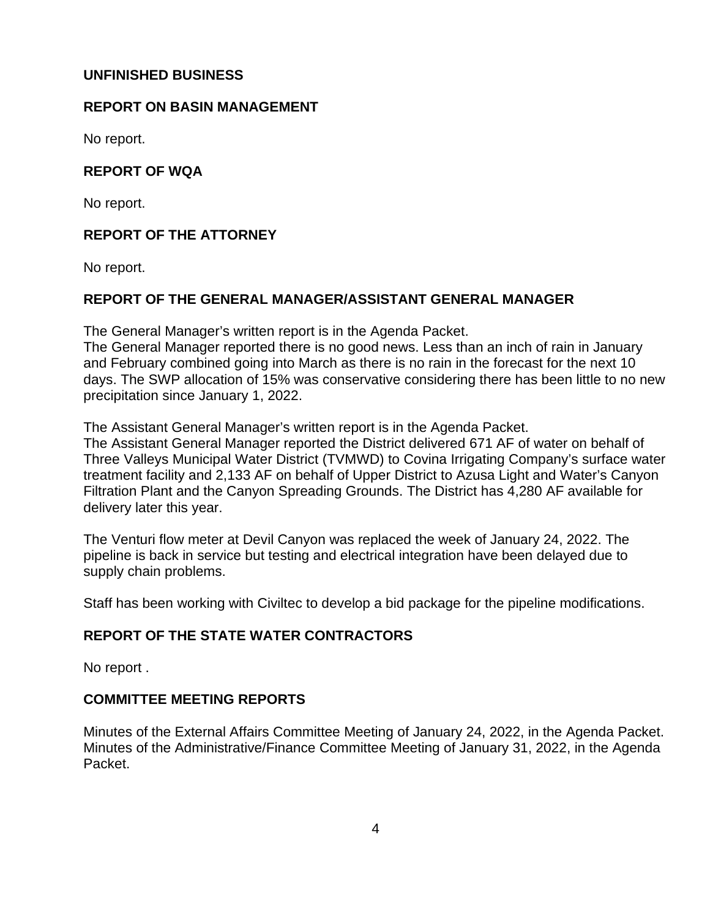### **UNFINISHED BUSINESS**

#### **REPORT ON BASIN MANAGEMENT**

No report.

## **REPORT OF WQA**

No report.

# **REPORT OF THE ATTORNEY**

No report.

## **REPORT OF THE GENERAL MANAGER/ASSISTANT GENERAL MANAGER**

The General Manager's written report is in the Agenda Packet.

The General Manager reported there is no good news. Less than an inch of rain in January and February combined going into March as there is no rain in the forecast for the next 10 days. The SWP allocation of 15% was conservative considering there has been little to no new precipitation since January 1, 2022.

The Assistant General Manager's written report is in the Agenda Packet.

The Assistant General Manager reported the District delivered 671 AF of water on behalf of Three Valleys Municipal Water District (TVMWD) to Covina Irrigating Company's surface water treatment facility and 2,133 AF on behalf of Upper District to Azusa Light and Water's Canyon Filtration Plant and the Canyon Spreading Grounds. The District has 4,280 AF available for delivery later this year.

The Venturi flow meter at Devil Canyon was replaced the week of January 24, 2022. The pipeline is back in service but testing and electrical integration have been delayed due to supply chain problems.

Staff has been working with Civiltec to develop a bid package for the pipeline modifications.

## **REPORT OF THE STATE WATER CONTRACTORS**

No report .

## **COMMITTEE MEETING REPORTS**

Minutes of the External Affairs Committee Meeting of January 24, 2022, in the Agenda Packet. Minutes of the Administrative/Finance Committee Meeting of January 31, 2022, in the Agenda Packet.